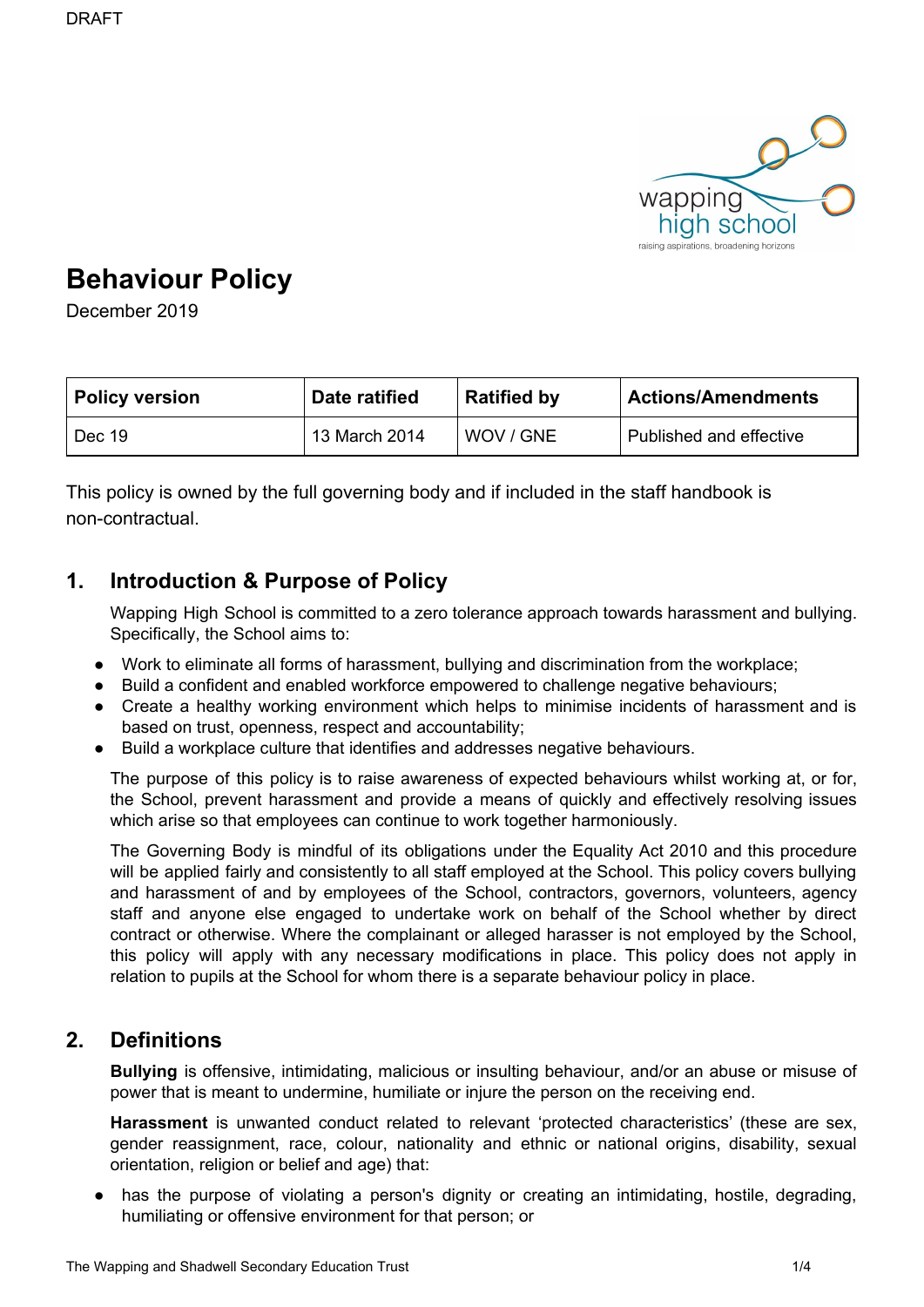

# **Behaviour Policy**

December 2019

| <b>Policy version</b> | Date ratified | <b>Ratified by</b> | <b>Actions/Amendments</b> |
|-----------------------|---------------|--------------------|---------------------------|
| Dec 19                | 13 March 2014 | I WOV / GNE        | Published and effective   |

This policy is owned by the full governing body and if included in the staff handbook is non-contractual.

### **1. Introduction & Purpose of Policy**

Wapping High School is committed to a zero tolerance approach towards harassment and bullying. Specifically, the School aims to:

- Work to eliminate all forms of harassment, bullying and discrimination from the workplace;
- Build a confident and enabled workforce empowered to challenge negative behaviours;
- Create a healthy working environment which helps to minimise incidents of harassment and is based on trust, openness, respect and accountability;
- Build a workplace culture that identifies and addresses negative behaviours.

The purpose of this policy is to raise awareness of expected behaviours whilst working at, or for, the School, prevent harassment and provide a means of quickly and effectively resolving issues which arise so that employees can continue to work together harmoniously.

The Governing Body is mindful of its obligations under the Equality Act 2010 and this procedure will be applied fairly and consistently to all staff employed at the School. This policy covers bullying and harassment of and by employees of the School, contractors, governors, volunteers, agency staff and anyone else engaged to undertake work on behalf of the School whether by direct contract or otherwise. Where the complainant or alleged harasser is not employed by the School, this policy will apply with any necessary modifications in place. This policy does not apply in relation to pupils at the School for whom there is a separate behaviour policy in place.

### **2. Definitions**

**Bullying** is offensive, intimidating, malicious or insulting behaviour, and/or an abuse or misuse of power that is meant to undermine, humiliate or injure the person on the receiving end.

**Harassment** is unwanted conduct related to relevant 'protected characteristics' (these are sex, gender reassignment, race, colour, nationality and ethnic or national origins, disability, sexual orientation, religion or belief and age) that:

● has the purpose of violating a person's dignity or creating an intimidating, hostile, degrading, humiliating or offensive environment for that person; or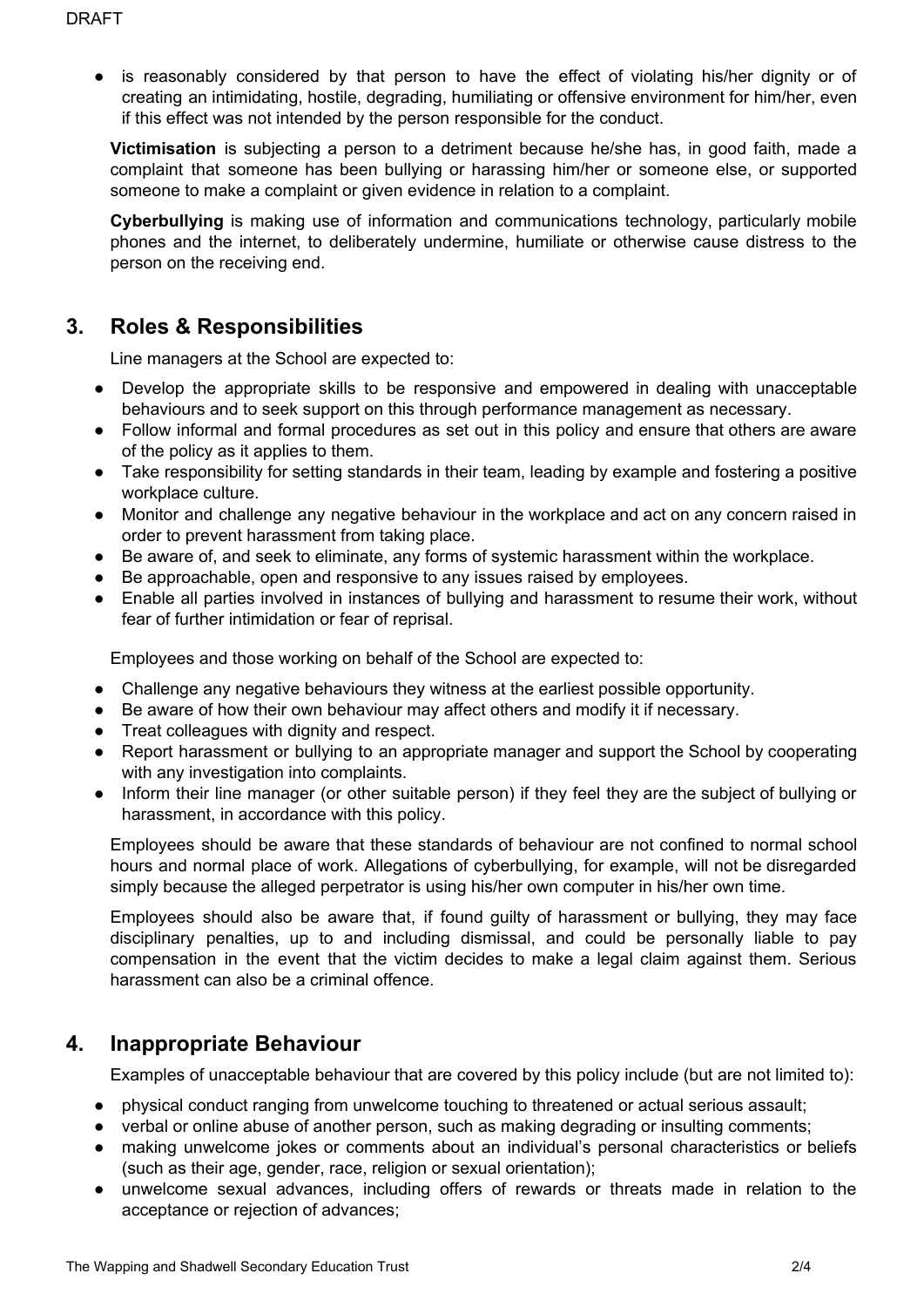● is reasonably considered by that person to have the effect of violating his/her dignity or of creating an intimidating, hostile, degrading, humiliating or offensive environment for him/her, even if this effect was not intended by the person responsible for the conduct.

**Victimisation** is subjecting a person to a detriment because he/she has, in good faith, made a complaint that someone has been bullying or harassing him/her or someone else, or supported someone to make a complaint or given evidence in relation to a complaint.

**Cyberbullying** is making use of information and communications technology, particularly mobile phones and the internet, to deliberately undermine, humiliate or otherwise cause distress to the person on the receiving end.

# **3. Roles & Responsibilities**

Line managers at the School are expected to:

- Develop the appropriate skills to be responsive and empowered in dealing with unacceptable behaviours and to seek support on this through performance management as necessary.
- Follow informal and formal procedures as set out in this policy and ensure that others are aware of the policy as it applies to them.
- Take responsibility for setting standards in their team, leading by example and fostering a positive workplace culture.
- Monitor and challenge any negative behaviour in the workplace and act on any concern raised in order to prevent harassment from taking place.
- Be aware of, and seek to eliminate, any forms of systemic harassment within the workplace.
- Be approachable, open and responsive to any issues raised by employees.
- Enable all parties involved in instances of bullying and harassment to resume their work, without fear of further intimidation or fear of reprisal.

Employees and those working on behalf of the School are expected to:

- Challenge any negative behaviours they witness at the earliest possible opportunity.
- Be aware of how their own behaviour may affect others and modify it if necessary.
- Treat colleagues with dignity and respect.
- Report harassment or bullying to an appropriate manager and support the School by cooperating with any investigation into complaints.
- Inform their line manager (or other suitable person) if they feel they are the subject of bullying or harassment, in accordance with this policy.

Employees should be aware that these standards of behaviour are not confined to normal school hours and normal place of work. Allegations of cyberbullying, for example, will not be disregarded simply because the alleged perpetrator is using his/her own computer in his/her own time.

Employees should also be aware that, if found guilty of harassment or bullying, they may face disciplinary penalties, up to and including dismissal, and could be personally liable to pay compensation in the event that the victim decides to make a legal claim against them. Serious harassment can also be a criminal offence.

### **4. Inappropriate Behaviour**

Examples of unacceptable behaviour that are covered by this policy include (but are not limited to):

- physical conduct ranging from unwelcome touching to threatened or actual serious assault;
- verbal or online abuse of another person, such as making degrading or insulting comments;
- making unwelcome jokes or comments about an individual's personal characteristics or beliefs (such as their age, gender, race, religion or sexual orientation);
- unwelcome sexual advances, including offers of rewards or threats made in relation to the acceptance or rejection of advances;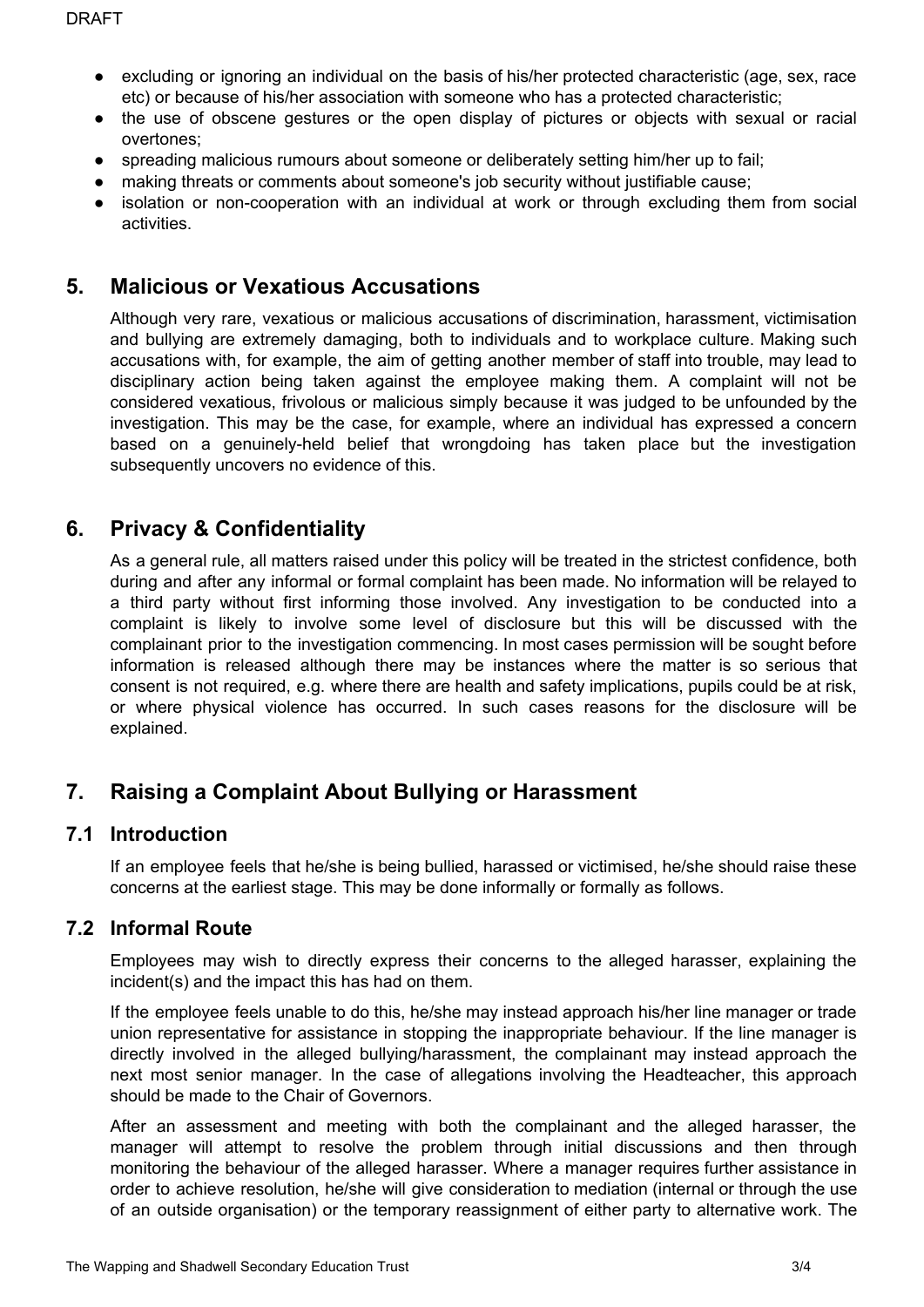- excluding or ignoring an individual on the basis of his/her protected characteristic (age, sex, race etc) or because of his/her association with someone who has a protected characteristic;
- the use of obscene gestures or the open display of pictures or objects with sexual or racial overtones;
- spreading malicious rumours about someone or deliberately setting him/her up to fail;
- making threats or comments about someone's job security without justifiable cause;
- isolation or non-cooperation with an individual at work or through excluding them from social activities.

### **5. Malicious or Vexatious Accusations**

Although very rare, vexatious or malicious accusations of discrimination, harassment, victimisation and bullying are extremely damaging, both to individuals and to workplace culture. Making such accusations with, for example, the aim of getting another member of staff into trouble, may lead to disciplinary action being taken against the employee making them. A complaint will not be considered vexatious, frivolous or malicious simply because it was judged to be unfounded by the investigation. This may be the case, for example, where an individual has expressed a concern based on a genuinely-held belief that wrongdoing has taken place but the investigation subsequently uncovers no evidence of this.

### **6. Privacy & Confidentiality**

As a general rule, all matters raised under this policy will be treated in the strictest confidence, both during and after any informal or formal complaint has been made. No information will be relayed to a third party without first informing those involved. Any investigation to be conducted into a complaint is likely to involve some level of disclosure but this will be discussed with the complainant prior to the investigation commencing. In most cases permission will be sought before information is released although there may be instances where the matter is so serious that consent is not required, e.g. where there are health and safety implications, pupils could be at risk, or where physical violence has occurred. In such cases reasons for the disclosure will be explained.

## **7. Raising a Complaint About Bullying or Harassment**

#### **7.1 Introduction**

If an employee feels that he/she is being bullied, harassed or victimised, he/she should raise these concerns at the earliest stage. This may be done informally or formally as follows.

#### **7.2 Informal Route**

Employees may wish to directly express their concerns to the alleged harasser, explaining the incident(s) and the impact this has had on them.

If the employee feels unable to do this, he/she may instead approach his/her line manager or trade union representative for assistance in stopping the inappropriate behaviour. If the line manager is directly involved in the alleged bullying/harassment, the complainant may instead approach the next most senior manager. In the case of allegations involving the Headteacher, this approach should be made to the Chair of Governors.

After an assessment and meeting with both the complainant and the alleged harasser, the manager will attempt to resolve the problem through initial discussions and then through monitoring the behaviour of the alleged harasser. Where a manager requires further assistance in order to achieve resolution, he/she will give consideration to mediation (internal or through the use of an outside organisation) or the temporary reassignment of either party to alternative work. The